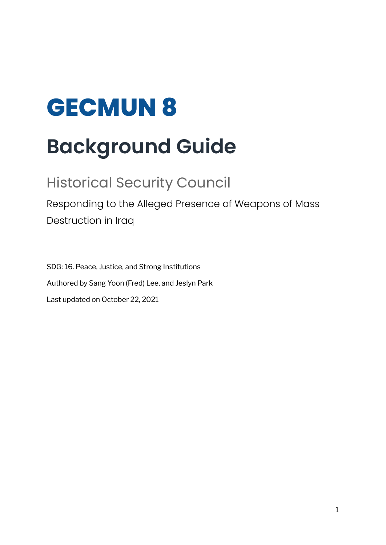# **GECMUN 8 Background Guide**

# Historical Security Council

Responding to the Alleged Presence of Weapons of Mass Destruction in Iraq

SDG: 16. Peace, Justice, and Strong Institutions Authored by Sang Yoon (Fred) Lee, and Jeslyn Park Last updated on October 22, 2021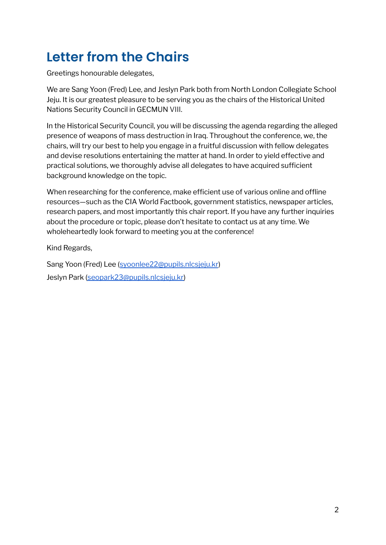# **Letter from the Chairs**

Greetings honourable delegates,

We are Sang Yoon (Fred) Lee, and Jeslyn Park both from North London Collegiate School Jeju. It is our greatest pleasure to be serving you as the chairs of the Historical United Nations Security Council in GECMUN VIII.

In the Historical Security Council, you will be discussing the agenda regarding the alleged presence of weapons of mass destruction in Iraq. Throughout the conference, we, the chairs, will try our best to help you engage in a fruitful discussion with fellow delegates and devise resolutions entertaining the matter at hand. In order to yield effective and practical solutions, we thoroughly advise all delegates to have acquired sufficient background knowledge on the topic.

When researching for the conference, make efficient use of various online and offline resources—such as the CIA World Factbook, government statistics, newspaper articles, research papers, and most importantly this chair report. If you have any further inquiries about the procedure or topic, please don't hesitate to contact us at any time. We wholeheartedly look forward to meeting you at the conference!

Kind Regards,

Sang Yoon (Fred) Lee ([syoonlee22@pupils.nlcsjeju.kr](mailto:syoonlee22@pupils.nlcsjeju.kr)) Jeslyn Park [\(seopark23@pupils.nlcsjeju.kr\)](mailto:seopark23@pupils.nlcsjeju.kr)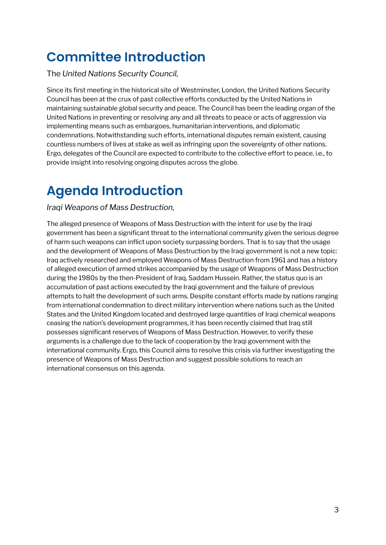# **Committee Introduction**

The *United Nations Security Council,*

Since its first meeting in the historical site of Westminster, London, the United Nations Security Council has been at the crux of past collective efforts conducted by the United Nations in maintaining sustainable global security and peace. The Council has been the leading organ of the United Nations in preventing or resolving any and all threats to peace or acts of aggression via implementing means such as embargoes, humanitarian interventions, and diplomatic condemnations. Notwithstanding such efforts, international disputes remain existent, causing countless numbers of lives at stake as well as infringing upon the sovereignty of other nations. Ergo, delegates of the Council are expected to contribute to the collective effort to peace, i.e., to provide insight into resolving ongoing disputes across the globe.

# **Agenda Introduction**

#### *Iraqi Weapons of Mass Destruction,*

The alleged presence of Weapons of Mass Destruction with the intent for use by the Iraqi government has been a significant threat to the international community given the serious degree of harm such weapons can inflict upon society surpassing borders. That is to say that the usage and the development of Weapons of Mass Destruction by the Iraqi government is not a new topic: Iraq actively researched and employed Weapons of Mass Destruction from 1961 and has a history of alleged execution of armed strikes accompanied by the usage of Weapons of Mass Destruction during the 1980s by the then-President of Iraq, Saddam Hussein. Rather, the status quo is an accumulation of past actions executed by the Iraqi government and the failure of previous attempts to halt the development of such arms. Despite constant efforts made by nations ranging from international condemnation to direct military intervention where nations such as the United States and the United Kingdom located and destroyed large quantities of Iraqi chemical weapons ceasing the nation's development programmes, it has been recently claimed that Iraq still possesses significant reserves of Weapons of Mass Destruction. However, to verify these arguments is a challenge due to the lack of cooperation by the Iraqi government with the international community. Ergo, this Council aims to resolve this crisis via further investigating the presence of Weapons of Mass Destruction and suggest possible solutions to reach an international consensus on this agenda.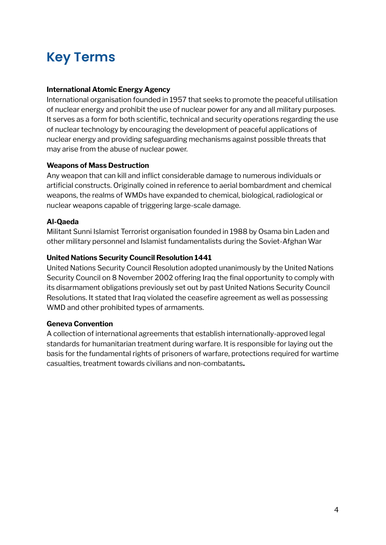# **Key Terms**

#### **International Atomic Energy Agency**

International organisation founded in 1957 that seeks to promote the peaceful utilisation of nuclear energy and prohibit the use of nuclear power for any and all military purposes. It serves as a form for both scientific, technical and security operations regarding the use of nuclear technology by encouraging the development of peaceful applications of nuclear energy and providing safeguarding mechanisms against possible threats that may arise from the abuse of nuclear power.

#### **Weapons of Mass Destruction**

Any weapon that can kill and inflict considerable damage to numerous individuals or artificial constructs. Originally coined in reference to aerial bombardment and chemical weapons, the realms of WMDs have expanded to chemical, biological, radiological or nuclear weapons capable of triggering large-scale damage.

#### **Al-Qaeda**

Militant Sunni Islamist Terrorist organisation founded in 1988 by Osama bin Laden and other military personnel and Islamist fundamentalists during the Soviet-Afghan War

#### **United Nations Security Council Resolution 1441**

United Nations Security Council Resolution adopted unanimously by the United Nations Security Council on 8 November 2002 offering Iraq the final opportunity to comply with its disarmament obligations previously set out by past United Nations Security Council Resolutions. It stated that Iraq violated the ceasefire agreement as well as possessing WMD and other prohibited types of armaments.

#### **Geneva Convention**

A collection of international agreements that establish internationally-approved legal standards for humanitarian treatment during warfare. It is responsible for laying out the basis for the fundamental rights of prisoners of warfare, protections required for wartime casualties, treatment towards civilians and non-combatants**.**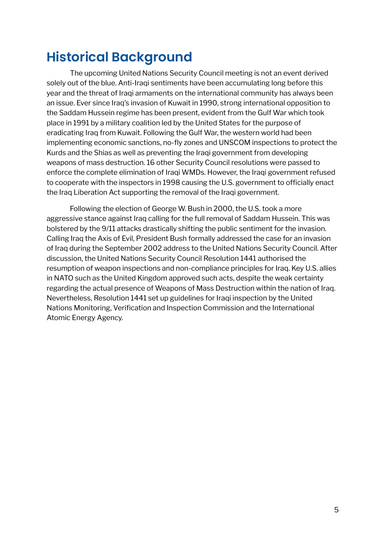# **Historical Background**

The upcoming United Nations Security Council meeting is not an event derived solely out of the blue. Anti-Iraqi sentiments have been accumulating long before this year and the threat of Iraqi armaments on the international community has always been an issue. Ever since Iraq's invasion of Kuwait in 1990, strong international opposition to the Saddam Hussein regime has been present, evident from the Gulf War which took place in 1991 by a military coalition led by the United States for the purpose of eradicating Iraq from Kuwait. Following the Gulf War, the western world had been implementing economic sanctions, no-fly zones and UNSCOM inspections to protect the Kurds and the Shias as well as preventing the Iraqi government from developing weapons of mass destruction. 16 other Security Council resolutions were passed to enforce the complete elimination of Iraqi WMDs. However, the Iraqi government refused to cooperate with the inspectors in 1998 causing the U.S. government to officially enact the Iraq Liberation Act supporting the removal of the Iraqi government.

Following the election of George W. Bush in 2000, the U.S. took a more aggressive stance against Iraq calling for the full removal of Saddam Hussein. This was bolstered by the 9/11 attacks drastically shifting the public sentiment for the invasion. Calling Iraq the Axis of Evil, President Bush formally addressed the case for an invasion of Iraq during the September 2002 address to the United Nations Security Council. After discussion, the United Nations Security Council Resolution 1441 authorised the resumption of weapon inspections and non-compliance principles for Iraq. Key U.S. allies in NATO such as the United Kingdom approved such acts, despite the weak certainty regarding the actual presence of Weapons of Mass Destruction within the nation of Iraq. Nevertheless, Resolution 1441 set up guidelines for Iraqi inspection by the United Nations Monitoring, Verification and Inspection Commission and the International Atomic Energy Agency.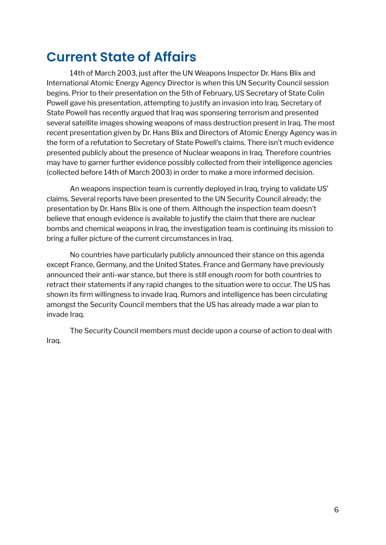### **Current State of Affairs**

14th of March 2003, just after the UN Weapons Inspector Dr. Hans Blix and International Atomic Energy Agency Director is when this UN Security Council session begins. Prior to their presentation on the 5th of February, US Secretary of State Colin Powell gave his presentation, attempting to justify an invasion into Iraq. Secretary of State Powell has recently argued that Iraq was sponsering terrorism and presented several satellite images showing weapons of mass destruction present in Iraq. The most recent presentation given by Dr. Hans Blix and Directors of Atomic Energy Agency was in the form of a refutation to Secretary of State Powell's claims. There isn't much evidence presented publicly about the presence of Nuclear weapons in Iraq. Therefore countries may have to garner further evidence possibly collected from their intelligence agencies (collected before 14th of March 2003) in order to make a more informed decision.

An weapons inspection team is currently deployed in Iraq, trying to validate US' claims. Several reports have been presented to the UN Security Council already; the presentation by Dr. Hans Blix is one of them. Although the inspection team doesn't believe that enough evidence is available to justify the claim that there are nuclear bombs and chemical weapons in Iraq, the investigation team is continuing its mission to bring a fuller picture of the current circumstances in Iraq.

No countries have particularly publicly announced their stance on this agenda except France, Germany, and the United States. France and Germany have previously announced their anti-war stance, but there is still enough room for both countries to retract their statements if any rapid changes to the situation were to occur. The US has shown its firm willingness to invade Iraq. Rumors and intelligence has been circulating amongst the Security Council members that the US has already made a war plan to invade Iraq.

The Security Council members must decide upon a course of action to deal with Iraq.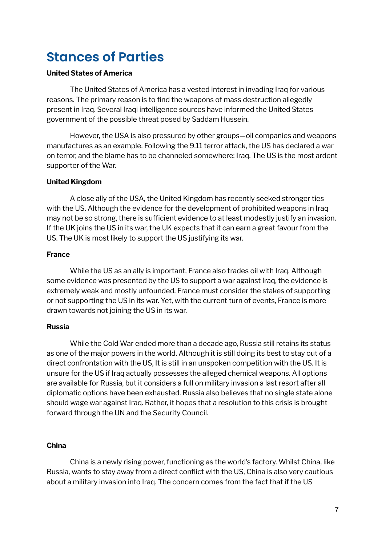## **Stances of Parties**

#### **United States of America**

The United States of America has a vested interest in invading Iraq for various reasons. The primary reason is to find the weapons of mass destruction allegedly present in Iraq. Several Iraqi intelligence sources have informed the United States government of the possible threat posed by Saddam Hussein.

However, the USA is also pressured by other groups—oil companies and weapons manufactures as an example. Following the 9.11 terror attack, the US has declared a war on terror, and the blame has to be channeled somewhere: Iraq. The US is the most ardent supporter of the War.

#### **United Kingdom**

A close ally of the USA, the United Kingdom has recently seeked stronger ties with the US. Although the evidence for the development of prohibited weapons in Iraq may not be so strong, there is sufficient evidence to at least modestly justify an invasion. If the UK joins the US in its war, the UK expects that it can earn a great favour from the US. The UK is most likely to support the US justifying its war.

#### **France**

While the US as an ally is important, France also trades oil with Iraq. Although some evidence was presented by the US to support a war against Iraq, the evidence is extremely weak and mostly unfounded. France must consider the stakes of supporting or not supporting the US in its war. Yet, with the current turn of events, France is more drawn towards not joining the US in its war.

#### **Russia**

While the Cold War ended more than a decade ago, Russia still retains its status as one of the major powers in the world. Although it is still doing its best to stay out of a direct confrontation with the US, It is still in an unspoken competition with the US. It is unsure for the US if Iraq actually possesses the alleged chemical weapons. All options are available for Russia, but it considers a full on military invasion a last resort after all diplomatic options have been exhausted. Russia also believes that no single state alone should wage war against Iraq. Rather, it hopes that a resolution to this crisis is brought forward through the UN and the Security Council.

#### **China**

China is a newly rising power, functioning as the world's factory. Whilst China, like Russia, wants to stay away from a direct conflict with the US, China is also very cautious about a military invasion into Iraq. The concern comes from the fact that if the US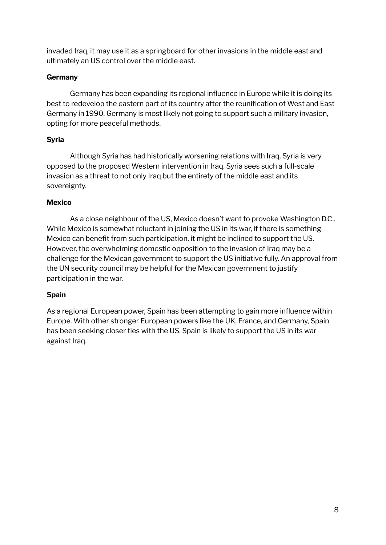invaded Iraq, it may use it as a springboard for other invasions in the middle east and ultimately an US control over the middle east.

#### **Germany**

Germany has been expanding its regional influence in Europe while it is doing its best to redevelop the eastern part of its country after the reunification of West and East Germany in 1990. Germany is most likely not going to support such a military invasion, opting for more peaceful methods.

#### **Syria**

Although Syria has had historically worsening relations with Iraq, Syria is very opposed to the proposed Western intervention in Iraq. Syria sees such a full-scale invasion as a threat to not only Iraq but the entirety of the middle east and its sovereignty.

#### **Mexico**

As a close neighbour of the US, Mexico doesn't want to provoke Washington D.C.. While Mexico is somewhat reluctant in joining the US in its war, if there is something Mexico can benefit from such participation, it might be inclined to support the US. However, the overwhelming domestic opposition to the invasion of Iraq may be a challenge for the Mexican government to support the US initiative fully. An approval from the UN security council may be helpful for the Mexican government to justify participation in the war.

#### **Spain**

As a regional European power, Spain has been attempting to gain more influence within Europe. With other stronger European powers like the UK, France, and Germany, Spain has been seeking closer ties with the US. Spain is likely to support the US in its war against Iraq.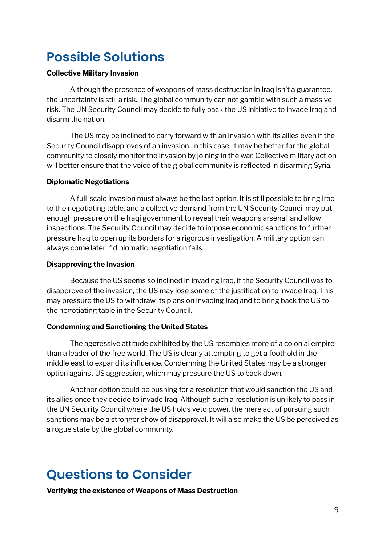# **Possible Solutions**

#### **Collective Military Invasion**

Although the presence of weapons of mass destruction in Iraq isn't a guarantee, the uncertainty is still a risk. The global community can not gamble with such a massive risk. The UN Security Council may decide to fully back the US initiative to invade Iraq and disarm the nation.

The US may be inclined to carry forward with an invasion with its allies even if the Security Council disapproves of an invasion. In this case, it may be better for the global community to closely monitor the invasion by joining in the war. Collective military action will better ensure that the voice of the global community is reflected in disarming Syria.

#### **Diplomatic Negotiations**

A full-scale invasion must always be the last option. It is still possible to bring Iraq to the negotiating table, and a collective demand from the UN Security Council may put enough pressure on the Iraqi government to reveal their weapons arsenal and allow inspections. The Security Council may decide to impose economic sanctions to further pressure Iraq to open up its borders for a rigorous investigation. A military option can always come later if diplomatic negotiation fails.

#### **Disapproving the Invasion**

Because the US seems so inclined in invading Iraq, if the Security Council was to disapprove of the invasion, the US may lose some of the justification to invade Iraq. This may pressure the US to withdraw its plans on invading Iraq and to bring back the US to the negotiating table in the Security Council.

#### **Condemning and Sanctioning the United States**

The aggressive attitude exhibited by the US resembles more of a colonial empire than a leader of the free world. The US is clearly attempting to get a foothold in the middle east to expand its influence. Condemning the United States may be a stronger option against US aggression, which may pressure the US to back down.

Another option could be pushing for a resolution that would sanction the US and its allies once they decide to invade Iraq. Although such a resolution is unlikely to pass in the UN Security Council where the US holds veto power, the mere act of pursuing such sanctions may be a stronger show of disapproval. It will also make the US be perceived as a rogue state by the global community.

# **Questions to Consider**

**Verifying the existence of Weapons of Mass Destruction**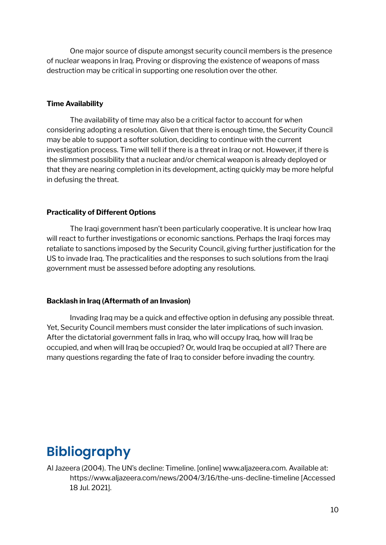One major source of dispute amongst security council members is the presence of nuclear weapons in Iraq. Proving or disproving the existence of weapons of mass destruction may be critical in supporting one resolution over the other.

#### **Time Availability**

The availability of time may also be a critical factor to account for when considering adopting a resolution. Given that there is enough time, the Security Council may be able to support a softer solution, deciding to continue with the current investigation process. Time will tell if there is a threat in Iraq or not. However, if there is the slimmest possibility that a nuclear and/or chemical weapon is already deployed or that they are nearing completion in its development, acting quickly may be more helpful in defusing the threat.

#### **Practicality of Different Options**

The Iraqi government hasn't been particularly cooperative. It is unclear how Iraq will react to further investigations or economic sanctions. Perhaps the Iraqi forces may retaliate to sanctions imposed by the Security Council, giving further justification for the US to invade Iraq. The practicalities and the responses to such solutions from the Iraqi government must be assessed before adopting any resolutions.

#### **Backlash in Iraq (Aftermath of an Invasion)**

Invading Iraq may be a quick and effective option in defusing any possible threat. Yet, Security Council members must consider the later implications of such invasion. After the dictatorial government falls in Iraq, who will occupy Iraq, how will Iraq be occupied, and when will Iraq be occupied? Or, would Iraq be occupied at all? There are many questions regarding the fate of Iraq to consider before invading the country.

### **Bibliography**

Al Jazeera (2004). The UN's decline: Timeline. [online] www.aljazeera.com. Available at: https://www.aljazeera.com/news/2004/3/16/the-uns-decline-timeline [Accessed 18 Jul. 2021].